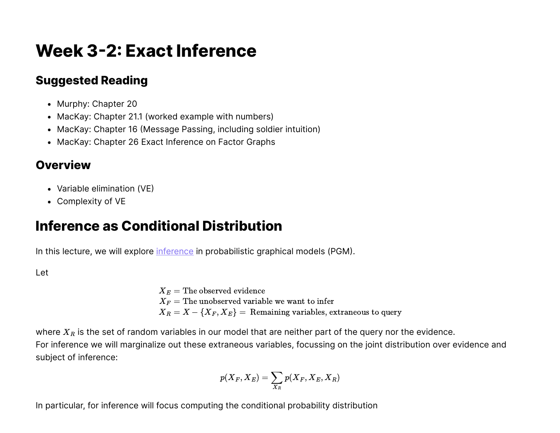# **Week 3-2: Exact Inference**

### **Suggested Reading**

- Murphy: Chapter 20
- MacKay: Chapter 21.1 (worked example with numbers)
- MacKay: Chapter 16 (Message Passing, including soldier intuition)
- MacKay: Chapter 26 Exact Inference on Factor Graphs

### **Overview**

- Variable elimination (VE)
- Complexity of VE

## **Inference as Conditional Distribution**

In this lecture, we will explore [inference](https://en.wikipedia.org/wiki/Statistical_inference) in probabilistic graphical models (PGM).

#### Let

 $X_E$  = The observed evidence  $X_F$  = The unobserved variable we want to infer  $X_R = X - \{X_F, X_E\}$  = Remaining variables, extraneous to query

where  $X_R$  is the set of random variables in our model that are neither part of the query nor the evidence. For inference we will marginalize out these extraneous variables, focussing on the joint distribution over evidence and subject of inference:

$$
p(X_F, X_E) = \sum_{X_R} p(X_F, X_E, X_R)
$$

In particular, for inference will focus computing the conditional probability distribution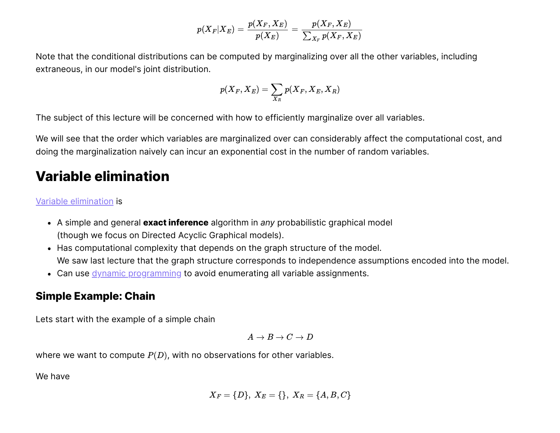$$
p(X_F|X_E) = \frac{p(X_F,X_E)}{p(X_E)} = \frac{p(X_F,X_E)}{\sum_{X_F} p(X_F,X_E)}
$$

Note that the conditional distributions can be computed by marginalizing over all the other variables, including extraneous, in our model's joint distribution.

$$
p(X_F,X_E)=\sum_{X_R}p(X_F,X_E,X_R)
$$

The subject of this lecture will be concerned with how to efficiently marginalize over all variables.

We will see that the order which variables are marginalized over can considerably affect the computational cost, and doing the marginalization naively can incur an exponential cost in the number of random variables.

## **Variable elimination**

#### [Variable elimination](https://en.wikipedia.org/wiki/Variable_elimination) is

- A simple and general **exact inference** algorithm in *any* probabilistic graphical model (though we focus on Directed Acyclic Graphical models).
- Has computational complexity that depends on the graph structure of the model. We saw last lecture that the graph structure corresponds to independence assumptions encoded into the model.
- Can use *dynamic programming* to avoid enumerating all variable assignments.

#### **Simple Example: Chain**

Lets start with the example of a simple chain

$$
A \to B \to C \to D
$$

where we want to compute  $P(D)$ , with no observations for other variables.

We have

$$
X_F = \{D\},\ X_E = \{\},\ X_R = \{A,B,C\}
$$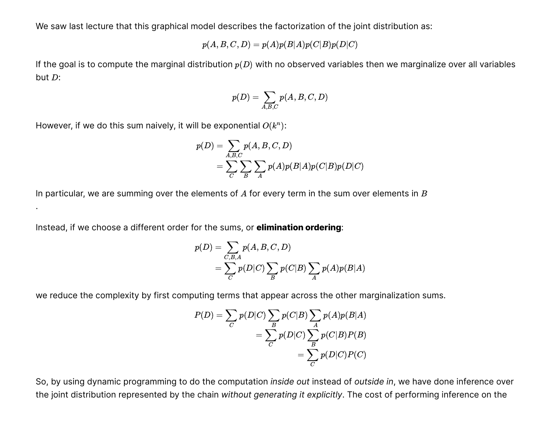We saw last lecture that this graphical model describes the factorization of the joint distribution as:

$$
p(A,B,C,D)=p(A)p(B|A)p(C|B)p(D|C)
$$

If the goal is to compute the marginal distribution  $p(D)$  with no observed variables then we marginalize over all variables but  $D$ :

$$
p(D) = \sum_{A,B,C} p(A,B,C,D)
$$

However, if we do this sum naively, it will be exponential  $O(k^n)$ :

.

$$
\begin{aligned} p(D) &= \sum_{A,B,C} p(A,B,C,D) \\ &= \sum_C \sum_B \sum_A p(A) p(B|A) p(C|B) p(D|C) \end{aligned}
$$

In particular, we are summing over the elements of  $A$  for every term in the sum over elements in  $B$ 

Instead, if we choose a different order for the sums, or **elimination ordering**:

$$
p(D) = \sum_{C,B,A} p(A,B,C,D)
$$
  
= 
$$
\sum_C p(D|C) \sum_B p(C|B) \sum_A p(A)p(B|A)
$$

we reduce the complexity by first computing terms that appear across the other marginalization sums.

$$
P(D) = \sum_{C} p(D|C) \sum_{B} p(C|B) \sum_{A} p(A)p(B|A)
$$
  
= 
$$
\sum_{C} p(D|C) \sum_{B} p(C|B)P(B)
$$
  
= 
$$
\sum_{C} p(D|C)P(C)
$$

So, by using dynamic programming to do the computation *inside out* instead of *outside in*, we have done inference over the joint distribution represented by the chain *without generating it explicitly*. The cost of performing inference on the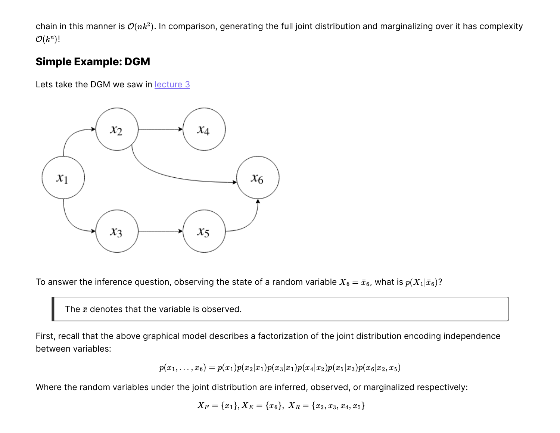chain in this manner is  $\mathcal{O}(nk^2)$ . In comparison, generating the full joint distribution and marginalizing over it has complexity  $\mathcal{O}(k^n)!$ 

#### **Simple Example: DGM**

Lets take the DGM we saw in lecture 3



To answer the inference question, observing the state of a random variable  $X_6=\bar{x}_6$ , what is  $p(X_1|\bar{x}_6)?$ 

The  $\bar{x}$  denotes that the variable is observed.

First, recall that the above graphical model describes a factorization of the joint distribution encoding independence between variables:

$$
p(x_1,\ldots,x_6)=p(x_1)p(x_2|x_1)p(x_3|x_1)p(x_4|x_2)p(x_5|x_3)p(x_6|x_2,x_5)
$$

Where the random variables under the joint distribution are inferred, observed, or marginalized respectively:

$$
X_F=\{x_1\}, X_E=\{x_6\},\ X_R=\{x_2, x_3, x_4, x_5\}
$$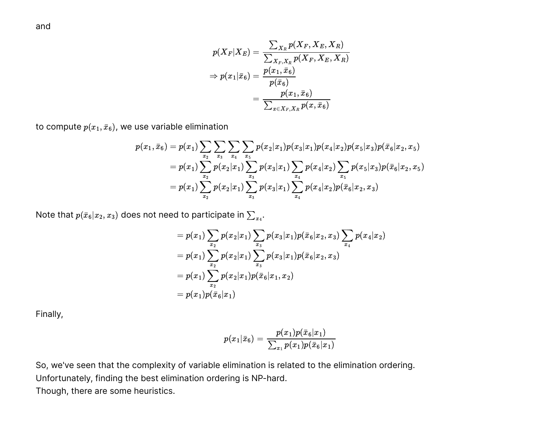$$
\begin{aligned} p(X_F|X_E) &= \frac{\sum_{X_R} p(X_F, X_E, X_R)}{\sum_{X_F, X_R} p(X_F, X_E, X_R)} \\ \Rightarrow p(x_1|\bar{x}_6) &= \frac{p(x_1,\bar{x}_6)}{p(\bar{x}_6)} \\ &= \frac{p(x_1,\bar{x}_6)}{\sum_{x \in X_F, X_R} p(x,\bar{x}_6)} \end{aligned}
$$

to compute  $p(x_1, \bar{x}_6)$ , we use variable elimination

$$
p(x_1,\bar{x}_6)=p(x_1)\sum_{x_2}\sum_{x_3}\sum_{x_4}\sum_{x_5}p(x_2|x_1)p(x_3|x_1)p(x_4|x_2)p(x_5|x_3)p(\bar{x}_6|x_2,x_5)\\=p(x_1)\sum_{x_2}p(x_2|x_1)\sum_{x_3}p(x_3|x_1)\sum_{x_4}p(x_4|x_2)\sum_{x_5}p(x_5|x_3)p(\bar{x}_6|x_2,x_5)\\=p(x_1)\sum_{x_2}p(x_2|x_1)\sum_{x_3}p(x_3|x_1)\sum_{x_4}p(x_4|x_2)p(\bar{x}_6|x_2,x_3)
$$

Note that  $p(\bar{x}_6|x_2, x_3)$  does not need to participate in  $\sum_{x_4}.$ 

$$
=p(x_1)\sum_{x_2}p(x_2|x_1)\sum_{x_3}p(x_3|x_1)p(\bar{x}_6|x_2,x_3)\sum_{x_4}p(x_4|x_2)\\=p(x_1)\sum_{x_2}p(x_2|x_1)\sum_{x_3}p(x_3|x_1)p(\bar{x}_6|x_2,x_3)\\=p(x_1)\sum_{x_2}p(x_2|x_1)p(\bar{x}_6|x_1,x_2)\\=p(x_1)p(\bar{x}_6|x_1)
$$

Finally,

$$
p(x_1|\bar{x}_6) = \frac{p(x_1)p(\bar{x}_6|x_1)}{\sum_{x_1} p(x_1)p(\bar{x}_6|x_1)}
$$

So, we've seen that the complexity of variable elimination is related to the elimination ordering. Unfortunately, finding the best elimination ordering is NP-hard. Though, there are some heuristics.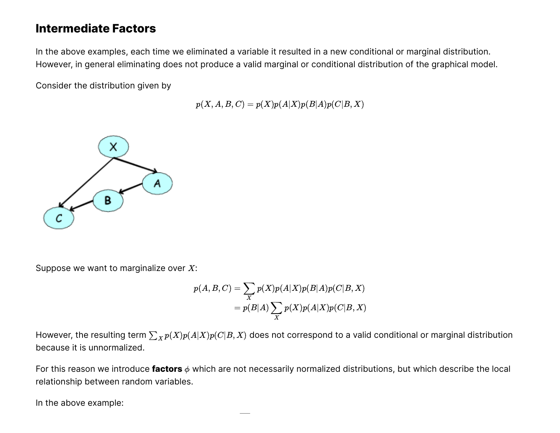### **Intermediate Factors**

In the above examples, each time we eliminated a variable it resulted in a new conditional or marginal distribution. However, in general eliminating does not produce a valid marginal or conditional distribution of the graphical model.

Consider the distribution given by

 $p(X, A, B, C) = p(X)p(A|X)p(B|A)p(C|B, X)$ 



Suppose we want to marginalize over  $X$ :

$$
p(A, B, C) = \sum_{X} p(X)p(A|X)p(B|A)p(C|B, X)
$$
  
=  $p(B|A) \sum_{X} p(X)p(A|X)p(C|B, X)$ 

However, the resulting term  $\sum_X p(X)p(A|X)p(C|B,X)$  does not correspond to a valid conditional or marginal distribution because it is unnormalized.

For this reason we introduce **factors**  $\phi$  which are not necessarily normalized distributions, but which describe the local relationship between random variables.

In the above example: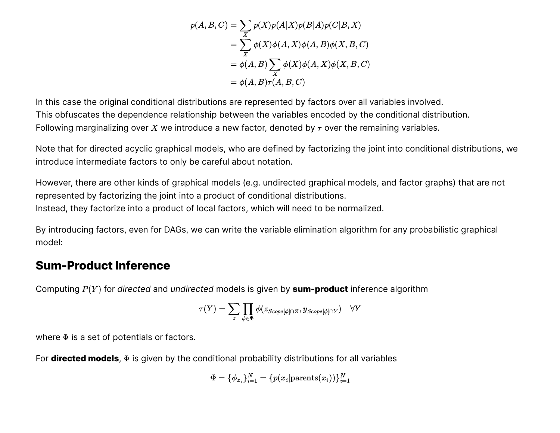$$
p(A, B, C) = \sum_{X} p(X)p(A|X)p(B|A)p(C|B, X)
$$
  
= 
$$
\sum_{X} \phi(X)\phi(A, X)\phi(A, B)\phi(X, B, C)
$$
  
= 
$$
\phi(A, B) \sum_{X} \phi(X)\phi(A, X)\phi(X, B, C)
$$
  
= 
$$
\phi(A, B)\tau(A, B, C)
$$

In this case the original conditional distributions are represented by factors over all variables involved. This obfuscates the dependence relationship between the variables encoded by the conditional distribution. Following marginalizing over  $X$  we introduce a new factor, denoted by  $\tau$  over the remaining variables.

Note that for directed acyclic graphical models, who are defined by factorizing the joint into conditional distributions, we introduce intermediate factors to only be careful about notation.

However, there are other kinds of graphical models (e.g. undirected graphical models, and factor graphs) that are not represented by factorizing the joint into a product of conditional distributions. Instead, they factorize into a product of local factors, which will need to be normalized.

By introducing factors, even for DAGs, we can write the variable elimination algorithm for any probabilistic graphical model:

#### **Sum-Product Inference**

Computing  $P(Y)$  for *directed* and *undirected* models is given by sum-product inference algorithm

$$
\tau(Y) = \sum_{z} \prod_{\phi \in \Phi} \phi(z_{Scope[\phi] \cap Z}, y_{Scope[\phi] \cap Y}) \quad \forall Y
$$

where  $\Phi$  is a set of potentials or factors.

For **directed models**,  $\Phi$  is given by the conditional probability distributions for all variables

$$
\Phi = \{\phi_{x_i}\}_{i=1}^N = \{p(x_i|\text{parents}(x_i))\}_{i=1}^N
$$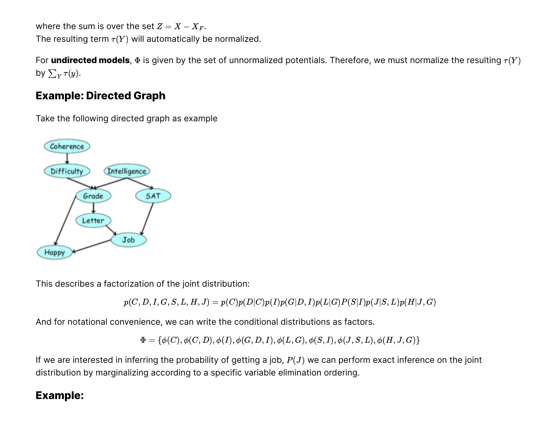where the sum is over the set  $Z = X - X_F$ . The resulting term  $\tau(Y)$  will automatically be normalized.

For **undirected models**,  $\Phi$  is given by the set of unnormalized potentials. Therefore, we must normalize the resulting  $\tau(Y)$ by  $\sum_{Y} \tau(y)$ .

#### **Example: Directed Graph**

Take the following directed graph as example



This describes a factorization of the joint distribution:

 $p(C, D, I, G, S, L, H, J) = p(C)p(D|C)p(I)p(G|D, I)p(L|G)P(S|I)p(J|S, L)p(H|J, G)$ 

And for notational convenience, we can write the conditional distributions as factors.

 $\Phi = \{\phi(C), \phi(C, D), \phi(I), \phi(G, D, I), \phi(L, G), \phi(S, I), \phi(J, S, L), \phi(H, J, G)\}\$ 

If we are interested in inferring the probability of getting a job,  $P(J)$  we can perform exact inference on the joint distribution by marginalizing according to a specific variable elimination ordering.

#### **Example:**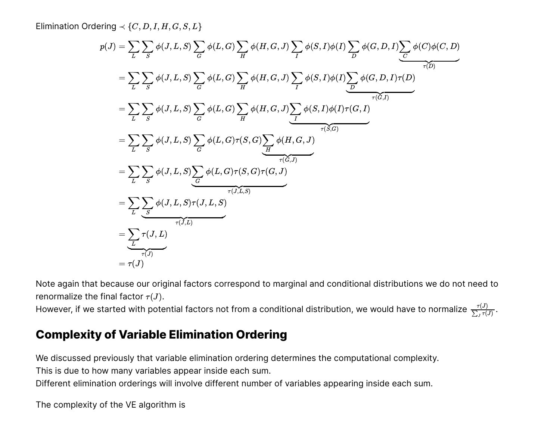Elimination Ordering  $\prec \{C, D, I, H, G, S, L\}$ 

Elimination Ordering 
$$
\prec
$$
 {C, D, I, H, G, S, L}  
\n $p(J) = \sum_{L} \sum_{S} \phi(L, L, S) \sum_{Q} \phi(L, G) \sum_{H} \phi(H, G, J) \sum_{P} \phi(S, I) \phi(I) \sum_{D} \phi(G, D, I) \sum_{Q} \phi(C, D, I)$   
\n $= \sum_{L} \sum_{S} \phi(J, L, S) \sum_{G} \phi(L, G) \sum_{H} \phi(H, G, J) \sum_{P} \phi(S, I) \phi(I) \sum_{P} \phi(G, D, I) r(D)}$   
\n $= \sum_{L} \sum_{S} \phi(I, L, S) \sum_{G} \phi(L, G) \sum_{H} \phi(H, G, J) \sum_{Q} \phi(S, I) \phi(I) r(G, I)$   
\n $= \sum_{L} \sum_{S} \phi(J, L, S) \sum_{Q} \phi(L, G) r(S, G) \sum_{H} \phi(H, G, J)$   
\n $= \sum_{L} \sum_{S} \phi(J, L, S) \sum_{G} \phi(L, G) r(S, G) r(G, J)$   
\n $= \sum_{L} \sum_{S} \phi(J, L, S) r(J, I, S)$   
\n $= \sum_{L} \sum_{S} \phi(J, L, S) r(J, I, S)$   
\n $= \sum_{L} \sum_{T} \phi(J, L, S) r(J, I, S)$   
\n $= \sum_{T} r(J, L)$   
\nNote again that because our original factors correspond to marginal and conditional distributions we do not need to  
renormalize the final factor  $r(J)$ .  
\nHowever, if we started with potential factors not from a conditional distribution, we would have to normalize  $\frac{r(J)}{\sum_{L}r(J)}$ .  
\n**Complexity of Variable Elimination Ordering**  
\nWe discussed previously that variable elimination ordering determines the computational complexity.  
\nThis is due to how many variables appear inside each sum.  
\nThe complexity of the VE algorithm is

Note again that because our original factors correspond to marginal and conditional distributions we do not need to renormalize the final factor  $\tau(J)$ .

However, if we started with potential factors not from a conditional distribution, we would have to normalize  $\frac{\tau(J)}{\tau^2}$ .  $\sum_{J}\overline{\tau(J)}$ 

### **Complexity of Variable Elimination Ordering**

We discussed previously that variable elimination ordering determines the computational complexity.

This is due to how many variables appear inside each sum.

Different elimination orderings will involve different number of variables appearing inside each sum.

The complexity of the VE algorithm is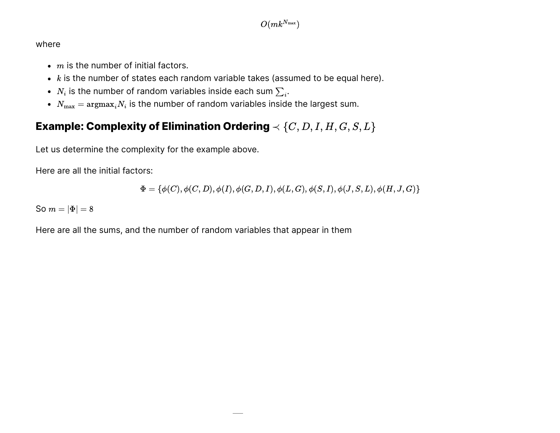#### where

- $m$  is the number of initial factors.
- $\boldsymbol{k}$  is the number of states each random variable takes (assumed to be equal here).
- $N_i$  is the number of random variables inside each sum  $\sum_{i\cdot}$
- $N_{\max} = \mathrm{argmax}_i N_i$  is the number of random variables inside the largest sum.

### **Example: Complexity of Elimination Ordering**  $\prec \{C, D, I, H, G, S, L\}$

Let us determine the complexity for the example above.

Here are all the initial factors:

$$
\Phi=\{\phi(C),\phi(C,D),\phi(I),\phi(G,D,I),\phi(L,G),\phi(S,I),\phi(J,S,L),\phi(H,J,G)\}
$$

So  $m = |\Phi| = 8$ 

Here are all the sums, and the number of random variables that appear in them